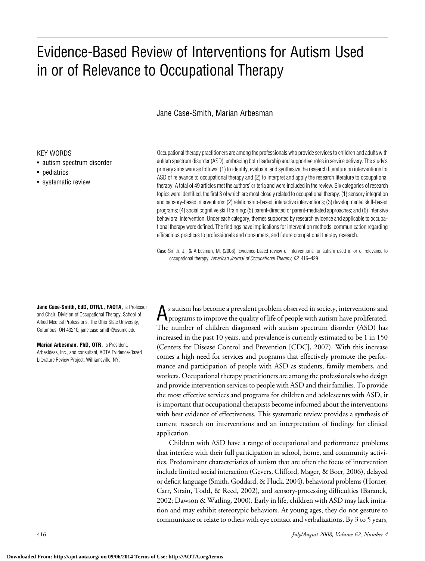# Evidence-Based Review of Interventions for Autism Used in or of Relevance to Occupational Therapy

## Jane Case-Smith, Marian Arbesman

#### KEY WORDS

- autism spectrum disorder
- pediatrics
- systematic review

Occupational therapy practitioners are among the professionals who provide services to children and adults with autism spectrum disorder (ASD), embracing both leadership and supportive roles in service delivery. The study's primary aims were as follows: (1) to identify, evaluate, and synthesize the research literature on interventions for ASD of relevance to occupational therapy and (2) to interpret and apply the research literature to occupational therapy. A total of 49 articles met the authors' criteria and were included in the review. Six categories of research topics were identified, the first 3 of which are most closely related to occupational therapy: (1) sensory integration and sensory-based interventions; (2) relationship-based, interactive interventions; (3) developmental skill-based programs; (4) social cognitive skill training; (5) parent-directed or parent-mediated approaches; and (6) intensive behavioral intervention. Under each category, themes supported by research evidence and applicable to occupational therapy were defined. The findings have implications for intervention methods, communication regarding efficacious practices to professionals and consumers, and future occupational therapy research.

Case-Smith, J., & Arbesman, M. (2008). Evidence-based review of interventions for autism used in or of relevance to occupational therapy. *American Journal of Occupational Therapy, 62,* 416–429.

**Jane Case-Smith, EdD, OTR/L, FAOTA,** is Professor and Chair, Division of Occupational Therapy, School of Allied Medical Professions, The Ohio State University, Columbus, OH 43210; jane.case-smith@osumc.edu

**Marian Arbesman, PhD, OTR,** is President, ArbesIdeas, Inc., and consultant, AOTA Evidence-Based Literature Review Project, Williamsville, NY.

A<sup>s</sup> autism has become <sup>a</sup> prevalent problem observed in society, interventions and programs to improvethe quality of life of people with autism have proliferated. The number of children diagnosed with autism spectrum disorder (ASD) has increased in the past 10 years, and prevalence is currently estimated to be 1 in 150 (Centers for Disease Control and Prevention [CDC], 2007). With this increase comes a high need for services and programs that effectively promote the performance and participation of people with ASD as students, family members, and workers. Occupational therapy practitioners are among the professionals who design and provide intervention services to people with ASD and their families. To provide the most effective services and programs for children and adolescents with ASD, it is important that occupational therapists become informed about the interventions with best evidence of effectiveness. This systematic review provides a synthesis of current research on interventions and an interpretation of findings for clinical application.

Children with ASD have a range of occupational and performance problems that interfere with their full participation in school, home, and community activities. Predominant characteristics of autism that are often the focus of intervention include limited social interaction (Gevers, Clifford, Mager, & Boer, 2006), delayed or deficit language(Smith, Goddard, & Fluck, 2004), behavioral problems (Horner, Carr, Strain, Todd, & Reed, 2002), and sensory-processing difficulties (Baranek, 2002; Dawson & Watling, 2000). Early in life, children with ASD may lack imitation and may exhibit stereotypic behaviors. At young ages, they do not gesture to communicate or relate to others with eye contact and verbalizations. By 3 to 5 years,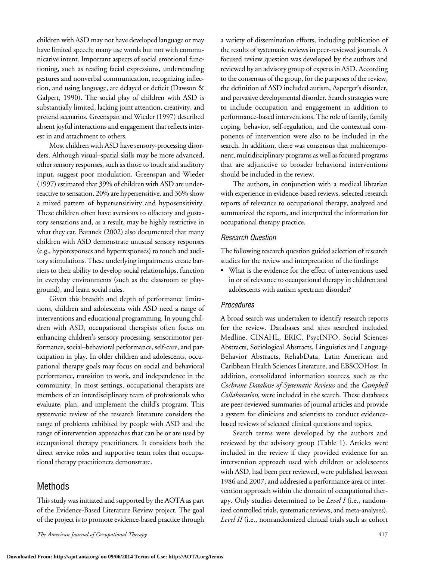children with ASD may not have developed language or may have limited speech; many use words but not with communicative intent. Important aspects of social emotional functioning, such as reading facial expressions, understanding gestures and nonverbal communication, recognizing inflection, and using language, are delayed or deficit (Dawson & Galpert, 1990). The social play of children with ASD is substantially limited, lacking joint attention, creativity, and pretend scenarios. Greenspan and Wieder (1997) described absent joyful interactions and engagement that reflects interest in and attachment to others.

Most children with ASD have sensory-processing disorders. Although visual–spatial skills may be more advanced, other sensory responses, such as those to touch and auditory input, suggest poor modulation. Greenspan and Wieder  $(1997)$  estimated that 39% of children with ASD are underreactive to sensation, 20% are hypersensitive, and 36% show a mixed pattern of hypersensitivity and hyposensitivity. These children often have aversions to olfactory and gustatory sensations and, as a result, may be highly restrictive in what they eat. Baranek (2002) also documented that many children with ASD demonstrate unusual sensory responses (e.g., hyporesponses and hyperresponses) to touch and auditory stimulations. These underlying impairments create barriers to their ability to develop social relationships, function in everyday environments (such as the classroom or playground), and learn social rules.

Given this breadth and depth of performance limitations, children and adolescents with ASD need a range of interventions and educational programming. In young children with ASD, occupational therapists often focus on enhancing children's sensory processing, sensorimotor performance, social–behavioral performance, self-care, and participation in play. In older children and adolescents, occupational therapy goals may focus on social and behavioral performance, transition to work, and independence in the community. In most settings, occupational therapists are members of an interdisciplinary team of professionals who evaluate, plan, and implement the child's program. This systematic review of the research literature considers the range of problems exhibited by people with ASD and the range of intervention approaches that can be or are used by occupational therapy practitioners. It considers both the direct service roles and supportive team roles that occupational therapy practitioners demonstrate.

## Methods

This study was initiated and supported by the AOTA as part of the Evidence-Based Literature Review project. The goal of the project is to promote evidence-based practice through

*The American Journal of Occupational Therapy* 417

a variety of dissemination efforts, including publication of the results of systematic reviews in peer-reviewed journals. A focused review question was developed by the authors and reviewed by an advisory group of experts in ASD. According to the consensus of the group, for the purposes of the review, the definition of ASD included autism, Asperger's disorder, and pervasive developmental disorder. Search strategies were to include occupation and engagement in addition to performance-based interventions. The role of family, family coping, behavior, self-regulation, and the contextual components of intervention were also to be included in the search. In addition, there was consensus that multicomponent, multidisciplinary programs as well as focused programs that are adjunctive to broader behavioral interventions should be included in the review.

The authors, in conjunction with a medical librarian with experience in evidence-based reviews, selected research reports of relevance to occupational therapy, analyzed and summarized the reports, and interpreted the information for occupational therapy practice.

#### *Research Question*

The following research question guided selection of research studies for the review and interpretation of the findings:

• What is the evidence for the effect of interventions used in or of relevance to occupational therapy in children and adolescents with autism spectrum disorder?

#### *Procedures*

A broad search was undertaken to identify research reports for the review. Databases and sites searched included Medline, CINAHL, ERIC, PsycINFO, Social Sciences Abstracts, Sociological Abstracts, Linguistics and Language Behavior Abstracts, RehabData, Latin American and Caribbean Health Sciences Literature, and EBSCOHost. In addition, consolidated information sources, such as the *Cochrane Database of Systematic Reviews* and the *Campbell Collaboration,* were included in the search. These databases are peer-reviewed summaries of journal articles and provide a system for clinicians and scientists to conduct evidencebased reviews of selected clinical questions and topics.

Search terms were developed by the authors and reviewed by the advisory group (Table 1). Articles were included in the review if they provided evidence for an intervention approach used with children or adolescents with ASD, had been peer reviewed, were published between 1986 and 2007, and addressed a performance area or intervention approach within the domain of occupational therapy. Only studies determined to be *Level I* (i.e., randomized controlled trials, systematic reviews, and meta-analyses), *Level II* (i.e., nonrandomized clinical trials such as cohort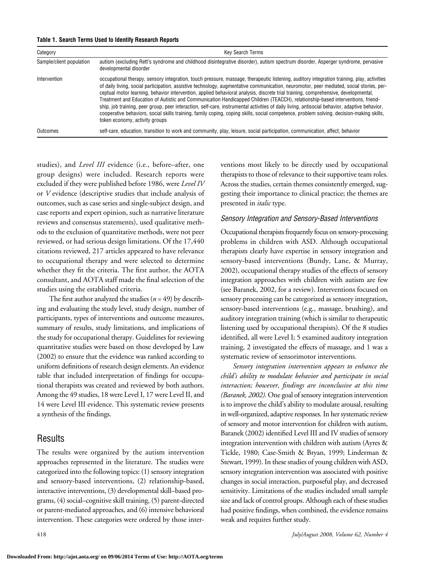| Table 1. Search Terms Used to Identify Research Reports |  |  |  |  |  |
|---------------------------------------------------------|--|--|--|--|--|
|---------------------------------------------------------|--|--|--|--|--|

| Category                 | <b>Key Search Terms</b>                                                                                                                                                                                                                                                                                                                                                                                                                                                                                                                                                                                                                                                                                                                                                                                                                                                                       |
|--------------------------|-----------------------------------------------------------------------------------------------------------------------------------------------------------------------------------------------------------------------------------------------------------------------------------------------------------------------------------------------------------------------------------------------------------------------------------------------------------------------------------------------------------------------------------------------------------------------------------------------------------------------------------------------------------------------------------------------------------------------------------------------------------------------------------------------------------------------------------------------------------------------------------------------|
| Sample/client population | autism (excluding Rett's syndrome and childhood disintegrative disorder), autism spectrum disorder, Asperger syndrome, pervasive<br>developmental disorder                                                                                                                                                                                                                                                                                                                                                                                                                                                                                                                                                                                                                                                                                                                                    |
| Intervention             | occupational therapy, sensory integration, touch pressure, massage, therapeutic listening, auditory integration training, play, activities<br>of daily living, social participation, assistive technology, augmentative communication, neuromotor, peer mediated, social stories, per-<br>ceptual motor learning, behavior intervention, applied behavioral analysis, discrete trial training, comprehensive, developmental,<br>Treatment and Education of Autistic and Communication Handicapped Children (TEACCH), relationship-based interventions, friend-<br>ship, job training, peer group, peer interaction, self-care, instrumental activities of daily living, antisocial behavior, adaptive behavior,<br>cooperative behaviors, social skills training, family coping, coping skills, social competence, problem solving, decision-making skills,<br>token economy, activity groups |
| Outcomes                 | self-care, education, transition to work and community, play, leisure, social participation, communication, affect, behavior                                                                                                                                                                                                                                                                                                                                                                                                                                                                                                                                                                                                                                                                                                                                                                  |

studies), and *Level III* evidence (i.e., before–after, one group designs) were included. Research reports were excluded if they were published before 1986, were *Level IV* or *V* evidence (descriptive studies that include analysis of outcomes, such as case series and single-subject design, and case reports and expert opinion, such as narrative literature reviews and consensus statements), used qualitative methods to the exclusion of quantitative methods, were not peer reviewed, or had serious design limitations. Of the 17,440 citations reviewed, 217 articles appeared to have relevance to occupational therapy and were selected to determine whether they fit the criteria. The first author, the AOTA consultant, and AOTA staff made the final selection of the studies using the established criteria.

The first author analyzed the studies  $(n = 49)$  by describing and evaluating the study level, study design, number of participants, types of interventions and outcome measures, summary of results, study limitations, and implications of the study for occupational therapy. Guidelines for reviewing quantitative studies were based on those developed by Law (2002) to ensure that the evidence was ranked according to uniform definitions of research design elements. An evidence table that included interpretation of findings for occupational therapists was created and reviewed by both authors. Among the 49 studies, 18 were Level I, 17 were Level II, and 14 were Level III evidence. This systematic review presents a synthesis of the findings.

## Results

The results were organized by the autism intervention approaches represented in the literature. The studies were categorized into the following topics: (1) sensory integration and sensory-based interventions, (2) relationship-based, interactive interventions, (3) developmental skill–based programs, (4) social–cognitive skill training, (5) parent-directed or parent-mediated approaches, and (6) intensive behavioral intervention. These categories were ordered by those interventions most likely to be directly used by occupational therapists to those of relevance to their supportive team roles. Across the studies, certain themes consistently emerged, suggesting their importance to clinical practice; the themes are presented in *italic* type.

#### *Sensory Integration and Sensory-Based Interventions*

Occupational therapists frequently focus on sensory-processing problems in children with ASD. Although occupational therapists clearly have expertise in sensory integration and sensory-based interventions (Bundy, Lane, & Murray, 2002), occupational therapy studies of the effects of sensory integration approaches with children with autism are few (see Baranek, 2002, for a review). Interventions focused on sensory processing can be categorized as sensory integration, sensory-based interventions (e.g., massage, brushing), and auditory integration training (which is similar to therapeutic listening used by occupational therapists). Of the 8 studies identified, all were Level I; 5 examined auditory integration training, 2 investigated the effects of massage, and 1 was a systematic review of sensorimotor interventions.

*Sensory integration intervention appears to enhance the child's ability to modulate behavior and participate in social interaction; however, findings are inconclusive at this time (Baranek, 2002).* One goal of sensory integration intervention is to improve the child's ability to modulate arousal, resulting in well-organized, adaptive responses. In her systematic review of sensory and motor intervention for children with autism, Baranek (2002) identified Level III and IV studies of sensory integration intervention with children with autism (Ayres & Tickle, 1980; Case-Smith & Bryan, 1999; Linderman & Stewart, 1999). In these studies of young children with ASD, sensory integration intervention was associated with positive changes in social interaction, purposeful play, and decreased sensitivity. Limitations of the studies included small sample size and lack of control groups. Although each of these studies had positive findings, when combined, the evidence remains weak and requires further study.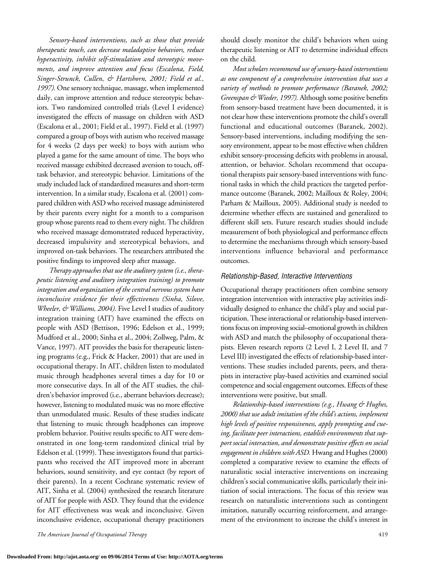*Sensory-based interventions, such as those that provide therapeutic touch, can decrease maladaptive behaviors, reduce hyperactivity, inhibit self-stimulation and stereotypic movements, and improve attention and focus (Escalona, Field, Singer-Strunck, Cullen, & Hartshorn, 2001; Field et al.,*  1997). One sensory technique, massage, when implemented daily, can improve attention and reduce stereotypic behaviors. Two randomized controlled trials (Level I evidence) investigated the effects of massage on children with ASD (Escalona et al., 2001; Field et al., 1997). Field et al. (1997) compared a group of boys with autism who received massage for 4 weeks (2 days per week) to boys with autism who played a game for the same amount of time. The boys who received massage exhibited decreased aversion to touch, offtask behavior, and stereotypic behavior. Limitations of the study included lack of standardized measures and short-term intervention. In a similar study, Escalona et al. (2001) compared children with ASD who received massage administered by their parents every night for a month to a comparison group whose parents read to them every night. The children who received massage demonstrated reduced hyperactivity, decreased impulsivity and stereotypical behaviors, and improved on-task behaviors. The researchers attributed the positive findings to improved sleep after massage.

*Therapy approaches that use the auditory system (i.e., therapeutic listening and auditory integration training) to promote integration and organization of the central nervous system have inconclusive evidence for their effectiveness (Sinha, Silove, Wheeler, & Williams, 2004).* Five Level I studies of auditory integration training (AIT) have examined the effects on people with ASD (Bettison, 1996; Edelson et al., 1999; Mudford et al., 2000; Sinha et al., 2004; Zollweg, Palm, & Vance, 1997). AIT provides the basis for therapeutic listening programs (e.g., Frick & Hacker, 2001) that are used in occupational therapy. In AIT, children listen to modulated music through headphones several times a day for 10 or more consecutive days. In all of the AIT studies, the children's behavior improved (i.e., aberrant behaviors decrease); however, listening to modulated music was no more effective than unmodulated music. Results of these studies indicate that listening to music through headphones can improve problem behavior. Positive results specific to AIT were demonstrated in one long-term randomized clinical trial by Edelson et al. (1999). These investigators found that participants who received the AIT improved more in aberrant behaviors, sound sensitivity, and eye contact (by report of their parents). In a recent Cochrane systematic review of AIT, Sinha et al. (2004) synthesized the research literature of AIT for people with ASD. They found that the evidence for AIT effectiveness was weak and inconclusive. Given inconclusive evidence, occupational therapy practitioners

should closely monitor the child's behaviors when using therapeutic listening or AIT to determine individual effects on the child.

*Most scholars recommend use of sensory-based interventions as one component of a comprehensive intervention that uses a variety of methods to promote performance (Baranek, 2002; Greenspan & Wieder, 1997).* Although some positive benefits from sensory-based treatment have been documented, it is not clear how these interventions promote the child's overall functional and educational outcomes (Baranek, 2002). Sensory-based interventions, including modifying the sensory environment, appear to be most effective when children exhibit sensory-processing deficits with problems in arousal, attention, or behavior. Scholars recommend that occupational therapists pair sensory-based interventions with functional tasks in which the child practices the targeted performance outcome (Baranek, 2002; Mailloux & Roley, 2004; Parham & Mailloux, 2005). Additional study is needed to determine whether effects are sustained and generalized to different skill sets. Future research studies should include measurement of both physiological and performance effects to determine the mechanisms through which sensory-based interventions influence behavioral and performance outcomes.

#### *Relationship-Based, Interactive Interventions*

Occupational therapy practitioners often combine sensory integration intervention with interactive play activities individually designed to enhance the child's play and social participation. These interactional or relationship-based interventions focus on improving social–emotional growth in children with ASD and match the philosophy of occupational therapists. Eleven research reports (2 Level I, 2 Level II, and 7 Level III) investigated the effects of relationship-based interventions. These studies included parents, peers, and therapists in interactive play-based activities and examined social competence and social engagement outcomes. Effects of these interventions were positive, but small.

*Relationship-based interventions (e.g., Hwang & Hughes, 2000) that use adult imitation of the child's actions, implement high levels of positive responsiveness, apply prompting and cueing, facilitate peer interactions, establish environments that support social interaction, and demonstrate positive effects on social engagement in children with ASD.* Hwang and Hughes (2000) completed a comparative review to examine the effects of naturalistic social interactive interventions on increasing children's social communicative skills, particularly their initiation of social interactions. The focus of this review was research on naturalistic interventions such as contingent imitation, naturally occurring reinforcement, and arrangement of the environment to increase the child's interest in

*The American Journal of Occupational Therapy* 419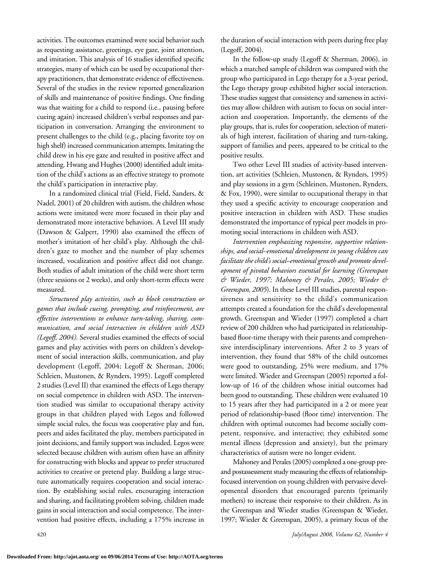activities. The outcomes examined were social behavior such as requesting assistance, greetings, eye gaze, joint attention, and imitation. This analysis of 16 studies identified specific strategies, many of which can be used by occupational therapy practitioners, that demonstrate evidence of effectiveness. Several of the studies in the review reported generalization of skills and maintenance of positive findings. One finding was that waiting for a child to respond (i.e., pausing before cueing again) increased children's verbal responses and participation in conversation. Arranging the environment to present challenges to the child (e.g., placing favorite toy on high shelf) increased communication attempts. Imitating the child drew in his eye gaze and resulted in positive affect and attending. Hwang and Hughes (2000) identified adult imitation of the child's actions as an effective strategy to promote the child's participation in interactive play.

In a randomized clinical trial (Field, Field, Sanders, & Nadel, 2001) of 20 children with autism, the children whose actions were imitated were more focused in their play and demonstrated more interactive behaviors. A Level III study (Dawson & Galpert, 1990) also examined the effects of mother's imitation of her child's play. Although the children's gaze to mother and the number of play schemes increased, vocalization and positive affect did not change. Both studies of adult imitation of the child were short term (three sessions or 2 weeks), and only short-term effects were measured.

*Structured play activities, such as block construction or games that include cueing, prompting, and reinforcement, are effective interventions to enhance turn-taking, sharing, communication, and social interaction in children with ASD (Legoff, 2004).* Several studies examined the effects of social games and play activities with peers on children's development of social interaction skills, communication, and play development (Legoff, 2004; Legoff & Sherman, 2006; Schleien, Mustonen, & Rynders, 1995). Legoff completed 2 studies (Level II) that examined the effects of Lego therapy on social competence in children with ASD. The intervention studied was similar to occupational therapy activity groups in that children played with Legos and followed simple social rules, the focus was cooperative play and fun, peers and aides facilitated the play, members participated in joint decisions, and family support was included. Legos were selected because children with autism often have an affinity for constructing with blocks and appear to prefer structured activities to creative or pretend play. Building a large structure automatically requires cooperation and social interaction. By establishing social rules, encouraging interaction and sharing, and facilitating problem solving, children made gains in social interaction and social competence. The intervention had positive effects, including a 175% increase in

the duration of social interaction with peers during free play (Legoff, 2004).

In the follow-up study (Legoff & Sherman, 2006), in which a matched sample of children was compared with the group who participated in Lego therapy for a 3-year period, the Lego therapy group exhibited higher social interaction. These studies suggest that consistency and sameness in activities may allow children with autism to focus on social interaction and cooperation. Importantly, the elements of the play groups, that is, rules for cooperation, selection of materials of high interest, facilitation of sharing and turn-taking, support of families and peers, appeared to be critical to the positive results.

Two other Level III studies of activity-based intervention, art activities (Schleien, Mustonen, & Rynders, 1995) and play sessions in a gym (Schleinen, Mustonen, Rynders, & Fox, 1990), were similar to occupational therapy in that they used a specific activity to encourage cooperation and positive interaction in children with ASD. These studies demonstrated the importance of typical peer models in promoting social interactions in children with ASD.

*Intervention emphasizing responsive, supportive relationships, and social–emotional development in young children can facilitate the child's social–emotional growth and promote development of pivotal behaviors essential for learning (Greenspan & Wieder, 1997; Mahoney & Perales, 2005; Wieder & Greenspan, 2005*). In these Level III studies, parental responsiveness and sensitivity to the child's communication attempts created a foundation for the child's developmental growth. Greenspan and Wieder (1997) completed a chart review of 200 children who had participated in relationshipbased floor-time therapy with their parents and comprehensive interdisciplinary interventions. After 2 to 3 years of intervention, they found that 58% of the child outcomes were good to outstanding, 25% were medium, and 17% were limited. Wieder and Greenspan (2005) reported a follow-up of 16 of the children whose initial outcomes had been good to outstanding. These children were evaluated 10 to 15 years after they had participated in a 2 or more year period of relationship-based (floor time) intervention. The children with optimal outcomes had become socially competent, responsive, and interactive; they exhibited some mental illness (depression and anxiety), but the primary characteristics of autism were no longer evident.

Mahoney and Perales (2005) completed a one-group preand postassessment study measuring the effects of relationshipfocused intervention on young children with pervasive developmental disorders that encouraged parents (primarily mothers) to increase their responsive to their children. As in the Greenspan and Wieder studies (Greenspan & Wieder, 1997; Wieder & Greenspan, 2005), a primary focus of the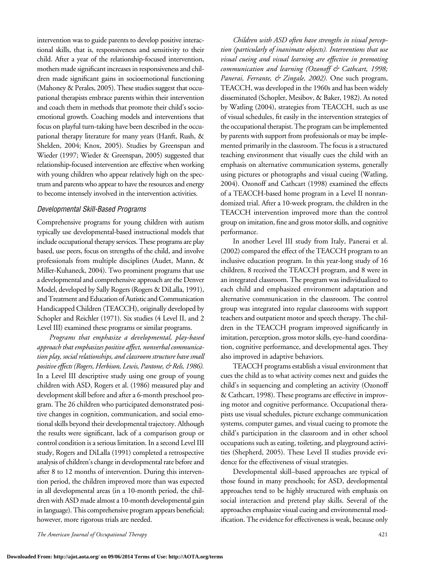intervention was to guide parents to develop positive interactional skills, that is, responsiveness and sensitivity to their child. After a year of the relationship-focused intervention, mothers made significant increases in responsiveness and children made significant gains in socioemotional functioning (Mahoney & Perales, 2005). These studies suggest that occupational therapists embrace parents within their intervention and coach them in methods that promote their child's socioemotional growth. Coaching models and interventions that focus on playful turn-taking have been described in the occupational therapy literature for many years (Hanft, Rush, & Shelden, 2004; Knox, 2005). Studies by Greenspan and Wieder (1997; Wieder & Greenspan, 2005) suggested that relationship-focused intervention are effective when working with young children who appear relatively high on the spectrum and parents who appear to have the resources and energy to become intensely involved in the intervention activities.

#### *Developmental Skill-Based Programs*

Comprehensive programs for young children with autism typically use developmental-based instructional models that include occupational therapy services.These programs are play based, use peers, focus on strengths of the child, and involve professionals from multiple disciplines (Audet, Mann, & Miller-Kuhaneck, 2004). Two prominent programs that use a developmental and comprehensive approach are the Denver Model, developed by Sally Rogers (Rogers & DiLalla, 1991), and Treatment and Education of Autistic and Communication Handicapped Children (TEACCH), originally developed by Schopler and Reichler (1971). Six studies (4 Level II, and 2 Level III) examined these programs or similar programs.

*Programs that emphasize a developmental, play-based approach that emphasizes positive affect, nonverbal communication play, social relationships, and classroom structure have small positive effects (Rogers, Herbison, Lewis, Pantone, & Rels, 1986).* In a Level III descriptive study using one group of young children with ASD, Rogers et al. (1986) measured play and development skill before and after a 6-month preschool program. The 26 children who participated demonstrated positive changes in cognition, communication, and social emotional skills beyond their developmental trajectory. Although the results were significant, lack of a comparison group or control condition is a serious limitation. In a second Level III study, Rogers and DiLalla (1991) completed a retrospective analysis of children's change in developmental rate before and after 8 to 12 months of intervention. During this intervention period, the children improved more than was expected in all developmental areas (in a 10-month period, the children with ASD made almost a 10-month developmental gain in language).This comprehensive program appears beneficial; however, more rigorous trials are needed.

*Children with ASD often have strengths in visual perception (particularly of inanimate objects). Interventions that use visual cueing and visual learning are effective in promoting communication and learning (Ozonoff & Cathcart, 1998; Panerai, Ferrante, & Zingale, 2002).* One such program, TEACCH, was developed in the 1960s and has been widely disseminated (Schopler, Mesibov, & Baker, 1982). As noted by Watling (2004), strategies from TEACCH, such as use of visual schedules, fit easily in the intervention strategies of the occupational therapist. The program can be implemented by parents with support from professionals or may be implemented primarily in the classroom. The focus is a structured teaching environment that visually cues the child with an emphasis on alternative communication systems, generally using pictures or photographs and visual cueing (Watling, 2004). Ozonoff and Cathcart (1998) examined the effects of a TEACCH-based home program in a Level II nonrandomized trial. After a 10-week program, the children in the TEACCH intervention improved more than the control group on imitation, fine and gross motor skills, and cognitive performance.

In another Level III study from Italy, Panerai et al.  $(2002)$  compared the effect of the TEACCH program to an inclusive education program. In this year-long study of 16 children, 8 received the TEACCH program, and 8 were in an integrated classroom. The program was individualized to each child and emphasized environment adaptation and alternative communication in the classroom. The control group was integrated into regular classrooms with support teachers and outpatient motor and speech therapy. The children in the TEACCH program improved significantly in imitation, perception, gross motor skills, eye-hand coordination, cognitive performance, and developmental ages. They also improved in adaptive behaviors.

TEACCH programs establish a visual environment that cues the child as to what activity comes next and guides the child's in sequencing and completing an activity (Ozonoff & Cathcart, 1998). These programs are effective in improving motor and cognitive performance. Occupational therapists use visual schedules, picture exchange communication systems, computer games, and visual cueing to promote the child's participation in the classroom and in other school occupations such as eating, toileting, and playground activities (Shepherd, 2005). These Level II studies provide evidence for the effectiveness of visual strategies.

Developmental skill–based approaches are typical of those found in many preschools; for ASD, developmental approaches tend to be highly structured with emphasis on social interaction and pretend play skills. Several of the approaches emphasize visual cueing and environmental modification. The evidence for effectiveness is weak, because only

*The American Journal of Occupational Therapy* 421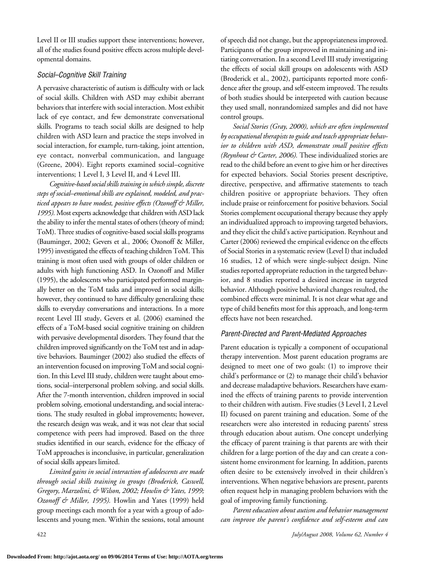Level II or III studies support these interventions; however, all of the studies found positive effects across multiple developmental domains.

#### *Social–Cognitive Skill Training*

A pervasive characteristic of autism is difficulty with or lack of social skills. Children with ASD may exhibit aberrant behaviors that interfere with social interaction. Most exhibit lack of eye contact, and few demonstrate conversational skills*.* Programs to teach social skills are designed to help children with ASD learn and practice the steps involved in social interaction, for example, turn-taking, joint attention, eye contact, nonverbal communication, and language (Greene, 2004). Eight reports examined social–cognitive interventions; 1 Level I, 3 Level II, and 4 Level III.

*Cognitive-based social skills training in which simple, discrete steps of social–emotional skills are explained, modeled, and practiced appears to have modest, positive effects (Ozonoff & Miller,*  1995). Most experts acknowledge that children with ASD lack the ability to infer the mental states of others (theory of mind; ToM). Three studies of cognitive-based social skills programs (Bauminger, 2002; Gevers et al., 2006; Ozonoff & Miller, 1995) investigated the effects of teaching children ToM. This training is most often used with groups of older children or adults with high functioning ASD. In Ozonoff and Miller (1995), the adolescents who participated performed marginally better on the ToM tasks and improved in social skills; however, they continued to have difficulty generalizing these skills to everyday conversations and interactions. In a more recent Level III study, Gevers et al. (2006) examined the effects of a ToM-based social cognitive training on children with pervasive developmental disorders. They found that the children improved significantly on the ToM test and in adaptive behaviors. Bauminger (2002) also studied the effects of an intervention focused on improving ToM and social cognition. In this Level III study, children were taught about emotions, social–interpersonal problem solving, and social skills. After the 7-month intervention, children improved in social problem solving, emotional understanding, and social interactions. The study resulted in global improvements; however, the research design was weak, and it was not clear that social competence with peers had improved. Based on the three studies identified in our search, evidence for the efficacy of ToM approaches is inconclusive, in particular, generalization of social skills appears limited.

*Limited gains in social interaction of adolescents are made through social skills training in groups (Broderick, Caswell, Gregory, Marzolini, & Wilson, 2002; Howlin & Yates, 1999; Ozonoff & Miller, 1995).* Howlin and Yates (1999) held group meetings each month for a year with a group of adolescents and young men. Within the sessions, total amount of speech did not change, but the appropriateness improved. Participants of the group improved in maintaining and initiating conversation. In a second Level III study investigating the effects of social skill groups on adolescents with ASD (Broderick et al., 2002), participants reported more confidence after the group, and self-esteem improved. The results of both studies should be interpreted with caution because they used small, nonrandomized samples and did not have control groups.

*Social Stories (Gray, 2000), which are often implemented by occupational therapists to guide and teach appropriate behavior to children with ASD, demonstrate small positive effects (Reynhout & Carter, 2006).* These individualized stories are read to the child before an event to give him or her directives for expected behaviors. Social Stories present descriptive, directive, perspective, and affirmative statements to teach children positive or appropriate behaviors. They often include praise or reinforcement for positive behaviors*.* Social Stories complement occupational therapy because they apply an individualized approach to improving targeted behaviors, and they elicit the child's active participation. Reynhout and Carter (2006) reviewed the empirical evidence on the effects of Social Stories in a systematic review (Level I) that included 16 studies, 12 of which were single-subject design. Nine studies reported appropriate reduction in the targeted behavior, and 8 studies reported a desired increase in targeted behavior. Although positive behavioral changes resulted, the combined effects were minimal. It is not clear what age and type of child benefits most for this approach, and long-term effects have not been researched.

#### *Parent-Directed and Parent-Mediated Approaches*

Parent education is typically a component of occupational therapy intervention. Most parent education programs are designed to meet one of two goals: (1) to improve their child's performance or (2) to manage their child's behavior and decrease maladaptive behaviors. Researchers have examined the effects of training parents to provide intervention to their children with autism. Five studies (3 Level I, 2 Level II) focused on parent training and education. Some of the researchers were also interested in reducing parents' stress through education about autism. One concept underlying the efficacy of parent training is that parents are with their children for a large portion of the day and can create a consistent home environment for learning. In addition, parents often desire to be extensively involved in their children's interventions. When negative behaviors are present, parents often request help in managing problem behaviors with the goal of improving family functioning.

*Parent education about autism and behavior management can improve the parent's confidence and self-esteem and can*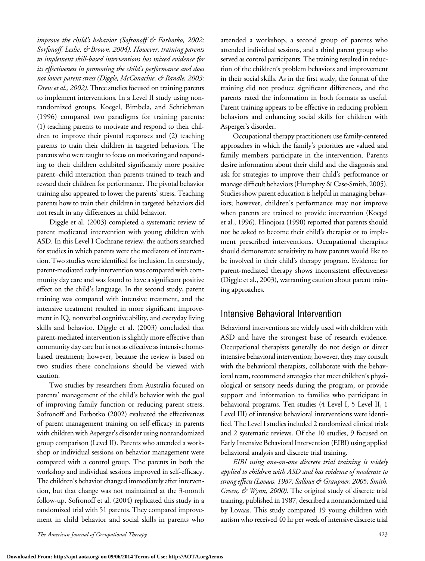*improve the child's behavior (Sofronoff & Farbotko, 2002; Sorfonoff, Leslie, & Brown, 2004). However, training parents to implement skill-based interventions has mixed evidence for its effectiveness in promoting the child's performance and does not lower parent stress (Diggle, McConachie, & Randle, 2003; Drew et al., 2002).* Three studies focused on training parents to implement interventions. In a Level II study using nonrandomized groups, Koegel, Bimbela, and Schriebman (1996) compared two paradigms for training parents: (1) teaching parents to motivate and respond to their children to improve their pivotal responses and (2) teaching parents to train their children in targeted behaviors. The parents who were taught to focus on motivating and responding to their children exhibited significantly more positive parent–child interaction than parents trained to teach and reward their children for performance. The pivotal behavior training also appeared to lower the parents' stress. Teaching parents how to train their children in targeted behaviors did not result in any differences in child behavior.

Diggle et al. (2003) completed a systematic review of parent medicated intervention with young children with ASD. In this Level I Cochrane review, the authors searched for studies in which parents were the mediators of intervention. Two studies were identified for inclusion. In one study, parent-mediated early intervention was compared with community day care and was found to have a significant positive effect on the child's language. In the second study, parent training was compared with intensive treatment, and the intensive treatment resulted in more significant improvement in IQ, nonverbal cognitive ability, and everyday living skills and behavior. Diggle et al. (2003) concluded that parent-mediated intervention is slightly more effective than community day care but is not as effective as intensive homebased treatment; however, because the review is based on two studies these conclusions should be viewed with caution.

Two studies by researchers from Australia focused on parents' management of the child's behavior with the goal of improving family function or reducing parent stress. Sofronoff and Farbotko (2002) evaluated the effectiveness of parent management training on self-efficacy in parents with children with Asperger's disorder using nonrandomized group comparison (Level II). Parents who attended a workshop or individual sessions on behavior management were compared with a control group. The parents in both the workshop and individual sessions improved in self-efficacy. The children's behavior changed immediately after intervention, but that change was not maintained at the 3-month follow-up. Sofronoff et al. (2004) replicated this study in a randomized trial with 51 parents. They compared improvement in child behavior and social skills in parents who

attended a workshop, a second group of parents who attended individual sessions, and a third parent group who served as control participants. The training resulted in reduction of the children's problem behaviors and improvement in their social skills. As in the first study, the format of the training did not produce significant differences, and the parents rated the information in both formats as useful. Parent training appears to be effective in reducing problem behaviors and enhancing social skills for children with Asperger's disorder.

Occupational therapy practitioners use family-centered approaches in which the family's priorities are valued and family members participate in the intervention. Parents desire information about their child and the diagnosis and ask for strategies to improve their child's performance or manage difficult behaviors (Humphry & Case-Smith, 2005). Studies show parent education is helpful in managing behaviors; however, children's performance may not improve when parents are trained to provide intervention (Koegel et al., 1996). Hinojosa (1990) reported that parents should not be asked to become their child's therapist or to implement prescribed interventions. Occupational therapists should demonstrate sensitivity to how parents would like to be involved in their child's therapy program. Evidence for parent-mediated therapy shows inconsistent effectiveness (Diggle et al., 2003), warranting caution about parent training approaches.

# Intensive Behavioral Intervention

Behavioral interventions are widely used with children with ASD and have the strongest base of research evidence. Occupational therapists generally do not design or direct intensive behavioral intervention; however, they may consult with the behavioral therapists, collaborate with the behavioral team, recommend strategies that meet children's physiological or sensory needs during the program, or provide support and information to families who participate in behavioral programs. Ten studies (4 Level I, 5 Level II, 1 Level III) of intensive behavioral interventions were identified. The Level I studies included 2 randomized clinical trials and 2 systematic reviews. Of the 10 studies, 9 focused on Early Intensive Behavioral Intervention (EIBI) using applied behavioral analysis and discrete trial training.

*EIBI using one-on-one discrete trial training is widely applied to children with ASD and has evidence of moderate to strong effects (Lovaas, 1987; Sallows & Graupner, 2005; Smith, Groen, & Wynn, 2000).* The original study of discrete trial training, published in 1987, described a nonrandomized trial by Lovaas. This study compared 19 young children with autism who received 40 hr per week of intensive discrete trial

*The American Journal of Occupational Therapy* 423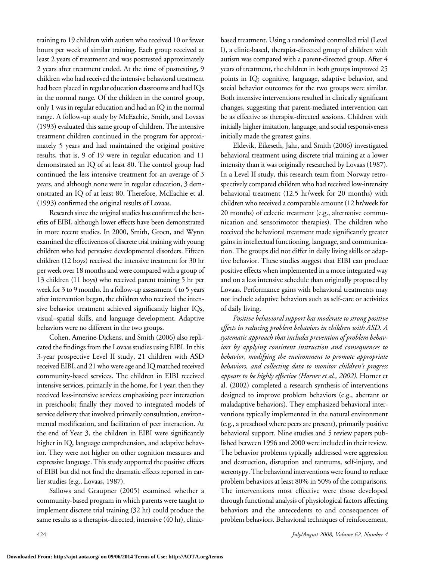training to 19 children with autism who received 10 or fewer hours per week of similar training. Each group received at least 2 years of treatment and was posttested approximately 2 years after treatment ended. At the time of posttesting, 9 children who had received the intensive behavioral treatment had been placed in regular education classrooms and had IQs in the normal range. Of the children in the control group, only 1 was in regular education and had an IQ in the normal range. A follow-up study by McEachie, Smith, and Lovaas (1993) evaluated this same group of children. The intensive treatment children continued in the program for approximately 5 years and had maintained the original positive results, that is, 9 of 19 were in regular education and 11 demonstrated an IQ of at least 80. The control group had continued the less intensive treatment for an average of 3 years, and although none were in regular education, 3 demonstrated an IQ of at least 80. Therefore, McEachie et al. (1993) confirmed the original results of Lovaas.

Research since the original studies has confirmed the benefits of EIBI, although lower effects have been demonstrated in more recent studies. In 2000, Smith, Groen, and Wynn examined the effectiveness of discrete trial training with young children who had pervasive developmental disorders. Fifteen children (12 boys) received the intensive treatment for 30 hr per week over 18 months and were compared with a group of 13 children (11 boys) who received parent training 5 hr per week for 3 to 9 months. In a follow-up assessment 4 to 5 years after intervention began, the children who received the intensive behavior treatment achieved significantly higher IQs, visual–spatial skills, and language development. Adaptive behaviors were no different in the two groups.

Cohen, Amerine-Dickens, and Smith (2006) also replicated the findings from the Lovaas studies using EIBI. In this 3-year prospective Level II study, 21 children with ASD received EIBI, and 21 who were age and IQ matched received community-based services. The children in EIBI received intensive services, primarily in the home, for 1 year; then they received less-intensive services emphasizing peer interaction in preschools; finally they moved to integrated models of service delivery that involved primarily consultation, environmental modification, and facilitation of peer interaction. At the end of Year 3, the children in EIBI were significantly higher in IQ, language comprehension, and adaptive behavior. They were not higher on other cognition measures and expressive language. This study supported the positive effects of EIBI but did not find the dramatic effects reported in earlier studies (e.g., Lovaas, 1987).

Sallows and Graupner (2005) examined whether a community-based program in which parents were taught to implement discrete trial training (32 hr) could produce the same results as a therapist-directed, intensive (40 hr), clinicbased treatment. Using a randomized controlled trial (Level I), a clinic-based, therapist-directed group of children with autism was compared with a parent-directed group. After 4 years of treatment, the children in both groups improved 25 points in IQ; cognitive, language, adaptive behavior, and social behavior outcomes for the two groups were similar. Both intensive interventions resulted in clinically significant changes, suggesting that parent-mediated intervention can be as effective as therapist-directed sessions. Children with initially higher imitation, language, and social responsiveness initially made the greatest gains.

Eldevik, Eikeseth, Jahr, and Smith (2006) investigated behavioral treatment using discrete trial training at a lower intensity than it was originally researched by Lovaas (1987). In a Level II study, this research team from Norway retrospectively compared children who had received low-intensity behavioral treatment (12.5 hr/week for 20 months) with children who received a comparable amount (12 hr/week for 20 months) of eclectic treatment (e.g., alternative communication and sensorimotor therapies). The children who received the behavioral treatment made significantly greater gains in intellectual functioning, language, and communication. The groups did not differ in daily living skills or adaptive behavior. These studies suggest that EIBI can produce positive effects when implemented in a more integrated way and on a less intensive schedule than originally proposed by Lovaas. Performance gains with behavioral treatments may not include adaptive behaviors such as self-care or activities of daily living.

*Positive behavioral support has moderate to strong positive effects in reducing problem behaviors in children with ASD. A systematic approach that includes prevention of problem behaviors by applying consistent instruction and consequences to behavior, modifying the environment to promote appropriate behaviors, and collecting data to monitor children's progress appears to be highly effective (Horner et al., 2002).* Horner et al. (2002) completed a research synthesis of interventions designed to improve problem behaviors (e.g., aberrant or maladaptive behaviors). They emphasized behavioral interventions typically implemented in the natural environment (e.g., a preschool where peers are present), primarily positive behavioral support. Nine studies and 5 review papers published between 1996 and 2000 were included in their review. The behavior problems typically addressed were aggression and destruction, disruption and tantrums, self-injury, and stereotypy. The behavioral interventions were found to reduce problem behaviors at least 80% in 50% of the comparisons. The interventions most effective were those developed through functional analysis of physiological factors affecting behaviors and the antecedents to and consequences of problem behaviors. Behavioral techniques of reinforcement,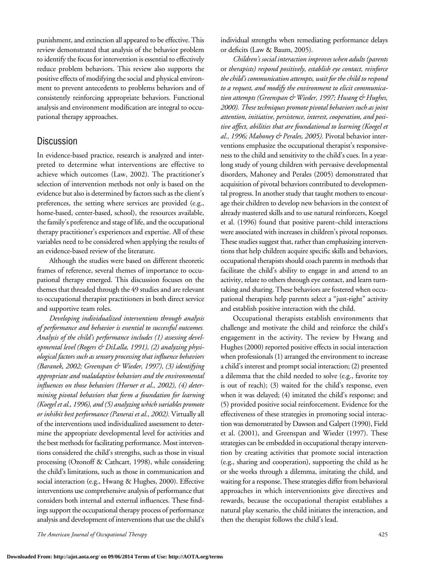punishment, and extinction all appeared to be effective. This review demonstrated that analysis of the behavior problem to identify the focus for intervention is essential to effectively reduce problem behaviors. This review also supports the positive effects of modifying the social and physical environment to prevent antecedents to problems behaviors and of consistently reinforcing appropriate behaviors. Functional analysis and environment modification are integral to occupational therapy approaches.

# **Discussion**

In evidence-based practice, research is analyzed and interpreted to determine what interventions are effective to achieve which outcomes (Law, 2002). The practitioner's selection of intervention methods not only is based on the evidence but also is determined by factors such as the client's preferences, the setting where services are provided (e.g., home-based, center-based, school), the resources available, the family's preference and stage of life, and the occupational therapy practitioner's experiences and expertise. All of these variables need to be considered when applying the results of an evidence-based review of the literature.

Although the studies were based on different theoretic frames of reference, several themes of importance to occupational therapy emerged. This discussion focuses on the themes that threaded through the 49 studies and are relevant to occupational therapist practitioners in both direct service and supportive team roles.

*Developing individualized interventions through analysis of performance and behavior is essential to successful outcomes. Analysis of the child's performance includes (1) assessing developmental level (Rogers & DiLalla, 1991), (2) analyzing physiological factors such as sensory processing that influence behaviors (Baranek, 2002; Greenspan & Wieder, 1997), (3) identifying appropriate and maladaptive behaviors and the environmental influences on those behaviors (Horner et al., 2002), (4) determining pivotal behaviors that form a foundation for learning (Koegel et al., 1996), and (5) analyzing which variables promote or inhibit best performance (Panerai et al., 2002).* Virtually all of the interventions used individualized assessment to determine the appropriate developmental level for activities and the best methods for facilitating performance. Most interventions considered the child's strengths, such as those in visual processing (Ozonoff & Cathcart, 1998), while considering the child's limitations, such as those in communication and social interaction (e.g., Hwang & Hughes, 2000). Effective interventions use comprehensive analysis of performance that considers both internal and external influences. These findings support the occupational therapy process of performance analysis and development of interventions that use the child's

*The American Journal of Occupational Therapy* 425

individual strengths when remediating performance delays or deficits (Law & Baum, 2005).

*Children's social interaction improves when adults (parents*  or *therapists) respond positively, establish eye contact, reinforce the child's communication attempts, wait for the child to respond to a request, and modify the environment to elicit communication attempts (Greenspan & Wieder, 1997; Hwang & Hughes, 2000). These techniques promote pivotal behaviors such as joint attention, initiative, persistence, interest, cooperation, and positive affect, abilities that are foundational to learning (Koegel et al., 1996; Mahoney & Perales, 2005).* Pivotal behavior interventions emphasize the occupational therapist's responsiveness to the child and sensitivity to the child's cues. In a yearlong study of young children with pervasive developmental disorders, Mahoney and Perales (2005) demonstrated that acquisition of pivotal behaviors contributed to developmental progress. In another study that taught mothers to encourage their children to develop new behaviors in the context of already mastered skills and to use natural reinforcers, Koegel et al. (1996) found that positive parent–child interactions were associated with increases in children's pivotal responses. These studies suggest that, rather than emphasizing interventions that help children acquire specific skills and behaviors, occupational therapists should coach parents in methods that facilitate the child's ability to engage in and attend to an activity, relate to others through eye contact, and learn turntaking and sharing. These behaviors are fostered when occupational therapists help parents select a "just-right" activity and establish positive interaction with the child.

Occupational therapists establish environments that challenge and motivate the child and reinforce the child's engagement in the activity. The review by Hwang and Hughes (2000) reported positive effects in social interaction when professionals (1) arranged the environment to increase a child's interest and prompt social interaction; (2) presented a dilemma that the child needed to solve (e.g., favorite toy is out of reach); (3) waited for the child's response, even when it was delayed; (4) imitated the child's response; and (5) provided positive social reinforcement. Evidence for the effectiveness of these strategies in promoting social interaction was demonstrated by Dawson and Galpert (1990), Field et al. (2001), and Greenspan and Wieder (1997). These strategies can be embedded in occupational therapy intervention by creating activities that promote social interaction (e.g., sharing and cooperation), supporting the child as he or she works through a dilemma, imitating the child, and waiting for a response. These strategies differ from behavioral approaches in which interventionists give directives and rewards, because the occupational therapist establishes a natural play scenario, the child initiates the interaction, and then the therapist follows the child's lead.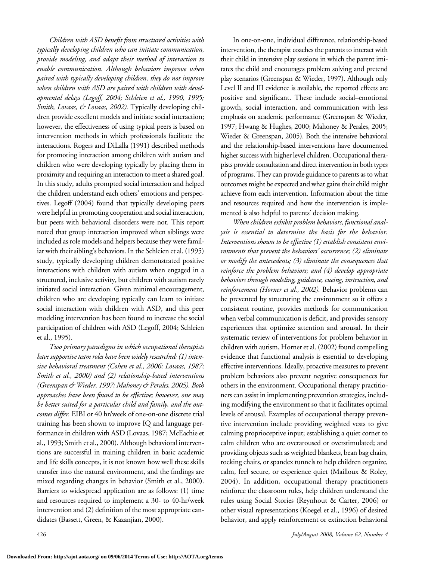*Children with ASD benefit from structured activities with typically developing children who can initiate communication, provide modeling, and adapt their method of interaction to enable communication. Although behaviors improve when paired with typically developing children, they do not improve when children with ASD are paired with children with developmental delays (Legoff, 2004; Schleien et al., 1990, 1995; Smith, Lovaas, & Lovaas, 2002).* Typically developing children provide excellent models and initiate social interaction; however, the effectiveness of using typical peers is based on intervention methods in which professionals facilitate the interactions. Rogers and DiLalla (1991) described methods for promoting interaction among children with autism and children who were developing typically by placing them in proximity and requiring an interaction to meet a shared goal. In this study, adults prompted social interaction and helped the children understand each others' emotions and perspectives. Legoff (2004) found that typically developing peers were helpful in promoting cooperation and social interaction, but peers with behavioral disorders were not. This report noted that group interaction improved when siblings were included as role models and helpers because they were familiar with their sibling's behaviors. In the Schleien et al. (1995) study, typically developing children demonstrated positive interactions with children with autism when engaged in a structured, inclusive activity, but children with autism rarely initiated social interaction. Given minimal encouragement, children who are developing typically can learn to initiate social interaction with children with ASD, and this peer modeling intervention has been found to increase the social participation of children with ASD (Legoff, 2004; Schleien et al., 1995).

*Two primary paradigms in which occupational therapists have supportive team roles have been widely researched: (1) intensive behavioral treatment (Cohen et al., 2006; Lovaas, 1987; Smith et al., 2000) and (2) relationship-based interventions (Greenspan & Wieder, 1997; Mahoney & Perales, 2005). Both approaches have been found to be effective; however, one may be better suited for a particular child and family, and the outcomes differ.* EIBI or 40 hr/week of one-on-one discrete trial training has been shown to improve IQ and language performance in children with ASD (Lovaas, 1987; McEachie et al., 1993; Smith et al., 2000). Although behavioral interventions are successful in training children in basic academic and life skills concepts, it is not known how well these skills transfer into the natural environment, and the findings are mixed regarding changes in behavior (Smith et al., 2000**)**. Barriers to widespread application are as follows: (1) time and resources required to implement a 30- to 40-hr/week intervention and (2) definition of the most appropriate candidates (Bassett, Green, & Kazanjian, 2000).

In one-on-one, individual difference, relationship-based intervention, the therapist coaches the parents to interact with their child in intensive play sessions in which the parent imitates the child and encourages problem solving and pretend play scenarios (Greenspan & Wieder, 1997). Although only Level II and III evidence is available, the reported effects are positive and significant. These include social–emotional growth, social interaction, and communication with less emphasis on academic performance (Greenspan & Wieder, 1997; Hwang & Hughes, 2000; Mahoney & Perales, 2005; Wieder & Greenspan, 2005). Both the intensive behavioral and the relationship-based interventions have documented higher success with higher level children. Occupational therapists provide consultation and direct intervention in both types of programs. They can provide guidance to parents as to what outcomes might be expected and what gains their child might achieve from each intervention. Information about the time and resources required and how the intervention is implemented is also helpful to parents' decision making.

*When children exhibit problem behaviors, functional analysis is essential to determine the basis for the behavior. Interventions shown to be effective (1) establish consistent environments that prevent the behaviors' occurrence; (2) eliminate or modify the antecedents; (3) eliminate the consequences that reinforce the problem behaviors; and (4) develop appropriate behaviors through modeling, guidance, cueing, instruction, and reinforcement (Horner et al., 2002).* Behavior problems can be prevented by structuring the environment so it offers a consistent routine, provides methods for communication when verbal communication is deficit, and provides sensory experiences that optimize attention and arousal. In their systematic review of interventions for problem behavior in children with autism, Horner et al. (2002) found compelling evidence that functional analysis is essential to developing effective interventions. Ideally, proactive measures to prevent problem behaviors also prevent negative consequences for others in the environment. Occupational therapy practitioners can assist in implementing prevention strategies, including modifying the environment so that it facilitates optimal levels of arousal. Examples of occupational therapy preventive intervention include providing weighted vests to give calming proprioceptive input; establishing a quiet corner to calm children who are overaroused or overstimulated; and providing objects such as weighted blankets, bean bag chairs, rocking chairs, or spandex tunnels to help children organize, calm, feel secure, or experience quiet (Mailloux & Roley, 2004). In addition, occupational therapy practitioners reinforce the classroom rules, help children understand the rules using Social Stories (Reynhout & Carter, 2006) or other visual representations (Koegel et al., 1996) of desired behavior, and apply reinforcement or extinction behavioral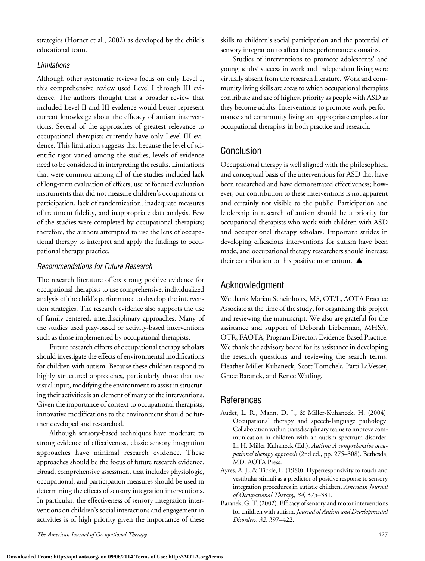strategies (Horner et al., 2002) as developed by the child's educational team.

## *Limitations*

Although other systematic reviews focus on only Level I, this comprehensive review used Level I through III evidence. The authors thought that a broader review that included Level II and III evidence would better represent current knowledge about the efficacy of autism interventions. Several of the approaches of greatest relevance to occupational therapists currently have only Level III evidence. This limitation suggests that because the level of scientific rigor varied among the studies, levels of evidence need to be considered in interpreting the results. Limitations that were common among all of the studies included lack of long-term evaluation of effects, use of focused evaluation instruments that did not measure children's occupations or participation, lack of randomization, inadequate measures of treatment fidelity, and inappropriate data analysis. Few of the studies were completed by occupational therapists; therefore, the authors attempted to use the lens of occupational therapy to interpret and apply the findings to occupational therapy practice.

## *Recommendations for Future Research*

The research literature offers strong positive evidence for occupational therapists to use comprehensive, individualized analysis of the child's performance to develop the intervention strategies. The research evidence also supports the use of family-centered, interdisciplinary approaches. Many of the studies used play-based or activity-based interventions such as those implemented by occupational therapists.

Future research efforts of occupational therapy scholars should investigate the effects of environmental modifications for children with autism. Because these children respond to highly structured approaches, particularly those that use visual input, modifying the environment to assist in structuring their activities is an element of many of the interventions. Given the importance of context to occupational therapists, innovative modifications to the environment should be further developed and researched.

Although sensory-based techniques have moderate to strong evidence of effectiveness, classic sensory integration approaches have minimal research evidence. These approaches should be the focus of future research evidence. Broad, comprehensive assessment that includes physiologic, occupational, and participation measures should be used in determining the effects of sensory integration interventions. In particular, the effectiveness of sensory integration interventions on children's social interactions and engagement in activities is of high priority given the importance of these

*The American Journal of Occupational Therapy* 427

skills to children's social participation and the potential of sensory integration to affect these performance domains.

Studies of interventions to promote adolescents' and young adults' success in work and independent living were virtually absent from the research literature. Work and community living skills are areas to which occupational therapists contribute and are of highest priority as people with ASD as they become adults. Interventions to promote work performance and community living are appropriate emphases for occupational therapists in both practice and research.

# Conclusion

Occupational therapy is well aligned with the philosophical and conceptual basis of the interventions for ASD that have been researched and have demonstrated effectiveness; however, our contribution to these interventions is not apparent and certainly not visible to the public. Participation and leadership in research of autism should be a priority for occupational therapists who work with children with ASD and occupational therapy scholars. Important strides in developing efficacious interventions for autism have been made, and occupational therapy researchers should increase their contribution to this positive momentum.  $\blacktriangle$ 

# Acknowledgment

We thank Marian Scheinholtz, MS, OT/L, AOTA Practice Associate at the time of the study, for organizing this project and reviewing the manuscript. We also are grateful for the assistance and support of Deborah Lieberman, MHSA, OTR, FAOTA, Program Director, Evidence-Based Practice. We thank the advisory board for its assistance in developing the research questions and reviewing the search terms: Heather Miller Kuhaneck, Scott Tomchek, Patti LaVesser, Grace Baranek, and Renee Watling.

# **References**

- Audet, L. R., Mann, D. J., & Miller-Kuhaneck, H. (2004). Occupational therapy and speech-language pathology: Collaboration within transdisciplinary teams to improve communication in children with an autism spectrum disorder. In H. Miller Kuhaneck (Ed.), *Autism: A comprehensive occupational therapy approach* (2nd ed., pp. 275–308). Bethesda, MD: AOTA Press.
- Ayres, A. J., & Tickle, L. (1980). Hyperresponsivity to touch and vestibular stimuli as a predictor of positive response to sensory integration procedures in autistic children. *American Journal of Occupational Therapy, 34,* 375–381.
- Baranek, G. T. (2002). Efficacy of sensory and motor interventions for children with autism. *Journal of Autism and Developmental Disorders, 32,* 397–422.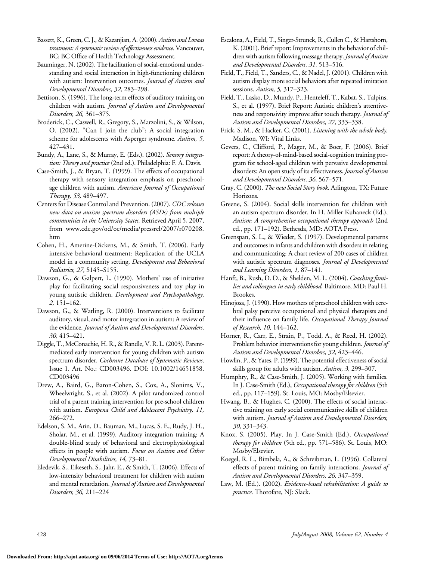Bassett,K., Green,C.J., & Kazanjian, A. (2000). *Autism and Lovaas treatment: A systematic review of effectiveness evidence.*Vancouver, BC: BC Office of Health Technology Assessment.

- Bauminger, N. (2002). The facilitation of social-emotional understanding and social interaction in high-functioning children with autism: Intervention outcomes. *Journal of Autism and Developmental Disorders, 32,* 283–298.
- Bettison, S. (1996). The long-term effects of auditory training on children with autism. *Journal of Autism and Developmental Disorders, 26,* 361–375.
- Broderick, C., Caswell, R., Gregory, S., Marzolini, S., & Wilson, O. (2002). "Can I join the club": A social integration scheme for adolescents with Asperger syndrome. *Autism, 5,* 427–431.
- Bundy, A., Lane, S., & Murray, E. (Eds.). (2002). *Sensory integration: Theory and practice* (2nd ed.). Philadelphia: F. A. Davis.
- Case-Smith, J., & Bryan, T. (1999). The effects of occupational therapy with sensory integration emphasis on preschoolage children with autism. *American Journal of Occupational Therapy, 53,* 489–497.
- Centers for Disease Control and Prevention. (2007). *CDC releases new data on autism spectrum disorders (ASDs) from multiple communities in the University States.* Retrieved April 5, 2007, from www.cdc.gov/od/oc/media/pressrel/2007/r070208. htm
- Cohen, H., Amerine-Dickens, M., & Smith, T. (2006). Early intensive behavioral treatment: Replication of the UCLA model in a community setting. *Development and Behavioral Pediatrics, 27,* S145–S155.
- Dawson, G., & Galpert, L. (1990). Mothers' use of initiative play for facilitating social responsiveness and toy play in young autistic children. *Development and Psychopathology, 2,* 151–162.
- Dawson, G., & Watling, R. (2000). Interventions to facilitate auditory, visual, and motor integration in autism: A review of the evidence. *Journal of Autism and Developmental Disorders, 30,* 415–421.
- Diggle, T., McConachie, H. R., & Randle, V. R. L. (2003). Parentmediated early intervention for young children with autism spectrum disorder. *Cochrane Database of Systematic Reviews,*  Issue 1. Art. No.: CD003496. DOI: 10.1002/14651858. CD003496
- Drew, A., Baird, G., Baron-Cohen, S., Cox, A., Slonims, V., Wheelwright, S., et al. (2002). A pilot randomized control trial of a parent training intervention for pre-school children with autism. *Europena Child and Adolescent Psychiatry, 11,* 266–272.
- Edelson, S. M., Arin, D., Bauman, M., Lucas, S. E., Rudy, J. H., Sholar, M., et al. (1999). Auditory integration training: A double-blind study of behavioral and electrophysiological effects in people with autism. *Focus on Autism and Other Developmental Disabilities, 14,* 73–81.
- Eledevik, S., Eikeseth, S., Jahr, E., & Smith, T. (2006). Effects of low-intensity behavioral treatment for children with autism and mental retardation. *Journal of Autism and Developmental Disorders, 36,* 211–224
- Escalona,A., Field,T., Singer-Strunck,R.,CullenC., & Hartshorn, K. (2001). Brief report: Improvements in the behavior of children with autism following massage therapy. *Journal of Autism and Developmental Disorders, 31,* 513–516.
- Field, T., Field, T., Sanders, C., & Nadel, J. (2001). Children with autism display more social behaviors after repeated imitation sessions. *Autism, 5,* 317–323.
- Field, T., Lasko, D., Mundy, P., Henteleff, T., Kabat, S., Talpins, S., et al. (1997). Brief Report: Autistic children's attentiveness and responsivity improve after touch therapy. *Journal of Autism and Developmental Disorders, 27,* 333–338.
- Frick, S. M., & Hacker, C. (2001). *Listening with the whole body.* Madison, WI: Vital Links.
- Gevers, C., Clifford, P., Mager, M., & Boer, F. (2006). Brief report: A theory-of-mind-based social-cognition training program for school-aged children with pervasive developmental disorders: An open study of itseffectiveness. *Journal of Autism and Developmental Disorders, 36,* 567–571.
- Gray, C. (2000). *The new Social Story book.* Arlington, TX: Future Horizons.
- Greene, S. (2004). Social skills intervention for children with an autism spectrum disorder. In H. Miller Kuhaneck (Ed.), *Autism: A comprehensive occupational therapy approach* (2nd ed., pp. 171–192). Bethesda, MD: AOTA Press.
- Greenspan, S. L., & Wieder, S. (1997). Developmental patterns and outcomes in infants and children with disorders in relating and communicating: A chart review of 200 cases of children with autistic spectrum diagnoses. *Journal of Developmental and Learning Disorders, 1,* 87–141.
- Hanft, B., Rush, D. D., & Shelden, M. L. (2004). *Coaching families and colleagues in early childhood.* Baltimore, MD: Paul H. Brookes.
- Hinojosa, J. (1990). How mothers of preschool children with cerebral palsy perceive occupational and physical therapists and their influence on family life. *Occupational Therapy Journal of Research, 10,* 144–162.
- Horner, R., Carr, E., Strain, P., Todd, A., & Reed, H. (2002). Problem behavior interventions for young children. *Journal of Autism and Developmental Disorders, 32,* 423–446.
- Howlin, P., & Yates, P. (1999). The potential effectiveness of social skills group for adults with autism. *Autism, 3,* 299–307.
- Humphry, R., & Case-Smith, J. (2005). Working with families. In J. Case-Smith (Ed.), *Occupational therapy for children* (5th ed., pp. 117–159). St. Louis, MO: Mosby/Elsevier.
- Hwang, B., & Hughes, C. (2000). The effects of social interactive training on early social communicative skills of children with autism. *Journal of Autism and Developmental Disorders, 30,* 331–343.
- Knox, S. (2005). Play. In J. Case-Smith (Ed.), *Occupational therapy for children* (5th ed., pp. 571–586). St. Louis, MO: Mosby/Elsevier.
- Koegel, R. L., Bimbela, A., & Schreibman, L. (1996). Collateral effects of parent training on family interactions. *Journal of Autism and Developmental Disorders, 26,* 347–359.
- Law, M. (Ed.). (2002). *Evidence-based rehabilitation: A guide to practice.* Thorofare, NJ: Slack.